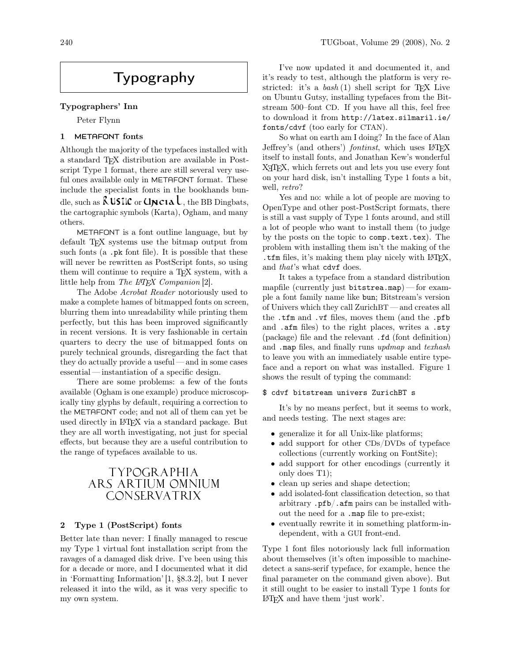# Typography

#### Typographers' Inn

Peter Flynn

#### 1 METAFONT fonts

Although the majority of the typefaces installed with a standard TEX distribution are available in Postscript Type 1 format, there are still several very useful ones available only in METAFONT format. These include the specialist fonts in the bookhands bundle, such as  $\lambda$  USIIC or  $\Delta \mathbf{N}$  the BB Dingbats, the cartographic symbols (Karta), Ogham, and many others.

METAFONT is a font outline language, but by default T<sub>F</sub>X systems use the bitmap output from such fonts (a .pk font file). It is possible that these will never be rewritten as PostScript fonts, so using them will continue to require a T<sub>EX</sub> system, with a little help from The  $\cancel{E}$ FFX Companion [2].

The Adobe Acrobat Reader notoriously used to make a complete hames of bitmapped fonts on screen, blurring them into unreadability while printing them perfectly, but this has been improved significantly in recent versions. It is very fashionable in certain quarters to decry the use of bitmapped fonts on purely technical grounds, disregarding the fact that they do actually provide a useful — and in some cases essential — instantiation of a specific design.

There are some problems: a few of the fonts available (Ogham is one example) produce microscopically tiny glyphs by default, requiring a correction to the METAFONT code; and not all of them can yet be used directly in LATEX via a standard package. But they are all worth investigating, not just for special effects, but because they are a useful contribution to the range of typefaces available to us.

## TYPOGRAPHIA ARS ARTIUM OMNIUM CONSERVATRIX

### 2 Type 1 (PostScript) fonts

Better late than never: I finally managed to rescue my Type 1 virtual font installation script from the ravages of a damaged disk drive. I've been using this for a decade or more, and I documented what it did in 'Formatting Information' [1, §8.3.2], but I never released it into the wild, as it was very specific to my own system.

I've now updated it and documented it, and it's ready to test, although the platform is very restricted: it's a  $bash(1)$  shell script for TEX Live on Ubuntu Gutsy, installing typefaces from the Bitstream 500–font CD. If you have all this, feel free to download it from http://latex.silmaril.ie/ fonts/cdvf (too early for CTAN).

So what on earth am I doing? In the face of Alan Jeffrey's (and others') *fontinst*, which uses LAT<sub>E</sub>X itself to install fonts, and Jonathan Kew's wonderful X<sub>T</sub>T<sub>E</sub>X, which ferrets out and lets you use every font on your hard disk, isn't installing Type 1 fonts a bit, well, retro?

Yes and no: while a lot of people are moving to OpenType and other post-PostScript formats, there is still a vast supply of Type 1 fonts around, and still a lot of people who want to install them (to judge by the posts on the topic to comp.text.tex). The problem with installing them isn't the making of the .tfm files, it's making them play nicely with LATEX, and that's what cdvf does.

It takes a typeface from a standard distribution mapfile (currently just bitstrea.map)— for example a font family name like bun; Bitstream's version of Univers which they call ZurichBT — and creates all the .tfm and .vf files, moves them (and the .pfb and .afm files) to the right places, writes a .sty (package) file and the relevant .fd (font definition) and .map files, and finally runs updmap and texhash to leave you with an immediately usable entire typeface and a report on what was installed. Figure 1 shows the result of typing the command:

#### \$ cdvf bitstream univers ZurichBT s

It's by no means perfect, but it seems to work, and needs testing. The next stages are:

- generalize it for all Unix-like platforms;
- add support for other CDs/DVDs of typeface collections (currently working on FontSite);
- add support for other encodings (currently it only does T1);
- clean up series and shape detection;
- add isolated-font classification detection, so that arbitrary .pfb/.afm pairs can be installed without the need for a .map file to pre-exist;
- eventually rewrite it in something platform-independent, with a GUI front-end.

Type 1 font files notoriously lack full information about themselves (it's often impossible to machinedetect a sans-serif typeface, for example, hence the final parameter on the command given above). But it still ought to be easier to install Type 1 fonts for LATEX and have them 'just work'.